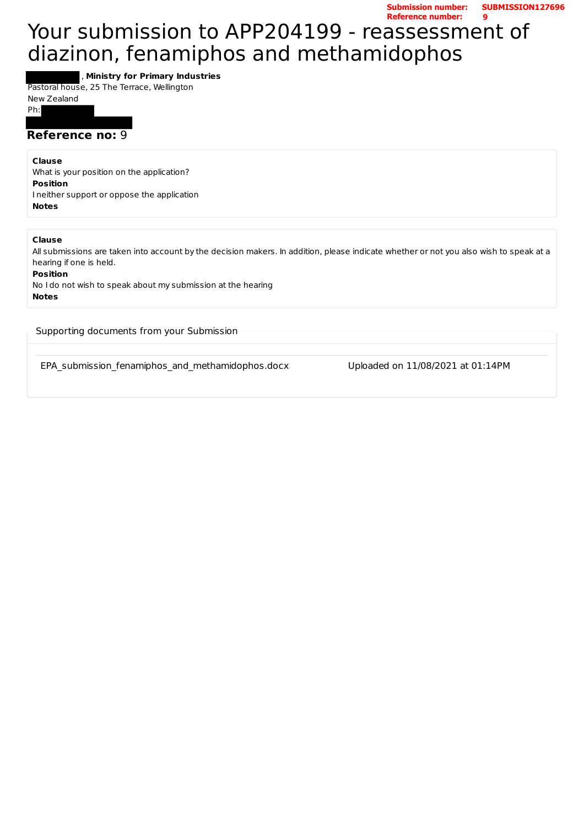**Submission number: SUBMISSION127696 Reference number: 9**

# Your submission to APP204199 - reassessment of diazinon, fenamiphos and methamidophos

, **Ministry for Primary Industries**

Pastoral house, 25 The Terrace, Wellington

New Zealand

Ph: 

# **Reference no: 9**

**Clause**

What is your position on the application? **Position** I neither support or oppose the application **Notes**

**Clause**

All submissions are taken into account by the decision makers. In addition, please indicate whether or not you also wish to speak at a hearing if one is held.

**Position**

No I do not wish to speak about my submission at the hearing **Notes**

Supporting documents from your Submission

EPA submission fenamiphos and methamidophos.docx Uploaded on 11/08/2021 at 01:14PM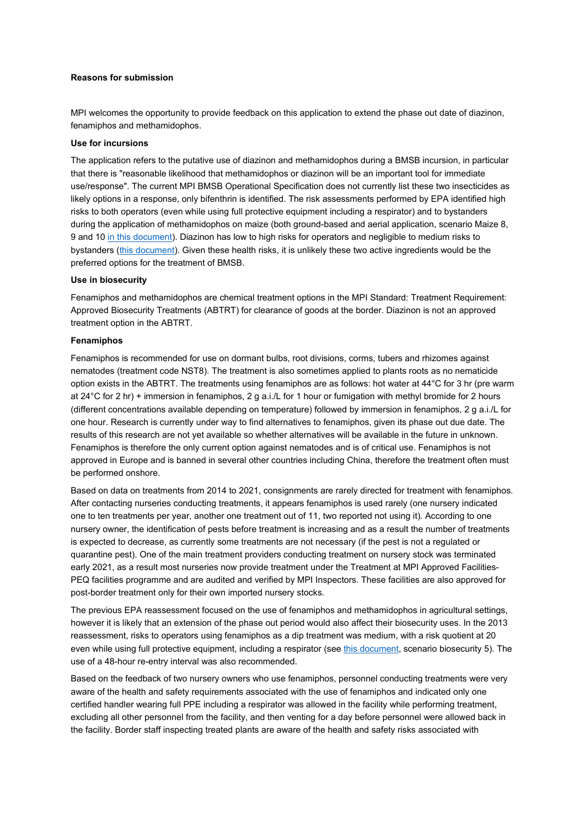### **Reasons for submission**

MPI welcomes the opportunity to provide feedback on this application to extend the phase out date of diazinon, fenamiphos and methamidophos.

#### **Use for incursions**

The application refers to the putative use of diazinon and methamidophos during a BMSB incursion, in particular that there is "reasonable likelihood that methamidophos or diazinon will be an important tool for immediate use/response". The current MPI BMSB Operational Specification does not currently list these two insecticides as likely options in a response, only bifenthrin is identified. The risk assessments performed by EPA identified high risks to both operators (even while using full protective equipment including a respirator) and to bystanders during the application of methamidophos on maize (both ground-based and aerial application, scenario Maize 8, 9 and 1[0 in this document\)](https://www.epa.govt.nz/assets/FileAPI/hsno-ar/APP201045/9a2d6b25d1/APP201045-Summary-and-Analysis-Maize.pdf). Diazinon has low to high risks for operators and negligible to medium risks to bystanders [\(this document\)](https://piritahi.cohesion.net.nz/Sites/SAI/BGIC/TREAT/InvestigationorAltTreatments/APP201045-APP201045-Decision-Amended-with-s67As-and-APP202142-2015.07.28.pdf%20(epa.govt.nz)). Given these health risks, it is unlikely these two active ingredients would be the preferred options for the treatment of BMSB.

#### **Use in biosecurity**

Fenamiphos and methamidophos are chemical treatment options in the MPI Standard: Treatment Requirement: Approved Biosecurity Treatments (ABTRT) for clearance of goods at the border. Diazinon is not an approved treatment option in the ABTRT.

# **Fenamiphos**

Fenamiphos is recommended for use on dormant bulbs, root divisions, corms, tubers and rhizomes against nematodes (treatment code NST8). The treatment is also sometimes applied to plants roots as no nematicide option exists in the ABTRT. The treatments using fenamiphos are as follows: hot water at 44°C for 3 hr (pre warm at 24°C for 2 hr) + immersion in fenamiphos, 2 g a.i./L for 1 hour or fumigation with methyl bromide for 2 hours (different concentrations available depending on temperature) followed by immersion in fenamiphos, 2 g a.i./L for one hour. Research is currently under way to find alternatives to fenamiphos, given its phase out due date. The results of this research are not yet available so whether alternatives will be available in the future in unknown. Fenamiphos is therefore the only current option against nematodes and is of critical use. Fenamiphos is not approved in Europe and is banned in several other countries including China, therefore the treatment often must be performed onshore.

Based on data on treatments from 2014 to 2021, consignments are rarely directed for treatment with fenamiphos. After contacting nurseries conducting treatments, it appears fenamiphos is used rarely (one nursery indicated one to ten treatments per year, another one treatment out of 11, two reported not using it). According to one nursery owner, the identification of pests before treatment is increasing and as a result the number of treatments is expected to decrease, as currently some treatments are not necessary (if the pest is not a regulated or quarantine pest). One of the main treatment providers conducting treatment on nursery stock was terminated early 2021, as a result most nurseries now provide treatment under the Treatment at MPI Approved Facilities-PEQ facilities programme and are audited and verified by MPI Inspectors. These facilities are also approved for post-border treatment only for their own imported nursery stocks.

The previous EPA reassessment focused on the use of fenamiphos and methamidophos in agricultural settings, however it is likely that an extension of the phase out period would also affect their biosecurity uses. In the 2013 reassessment, risks to operators using fenamiphos as a dip treatment was medium, with a risk quotient at 20 even while using full protective equipment, including a respirator (se[e this document,](https://epa.govt.nz/assets/FileAPI/hsno-ar/APP201045/16cd7f8670/APP201045-Summary-and-Analysis-Biosecurity.pdf) scenario biosecurity 5). The use of a 48-hour re-entry interval was also recommended.

Based on the feedback of two nursery owners who use fenamiphos, personnel conducting treatments were very aware of the health and safety requirements associated with the use of fenamiphos and indicated only one certified handler wearing full PPE including a respirator was allowed in the facility while performing treatment, excluding all other personnel from the facility, and then venting for a day before personnel were allowed back in the facility. Border staff inspecting treated plants are aware of the health and safety risks associated with